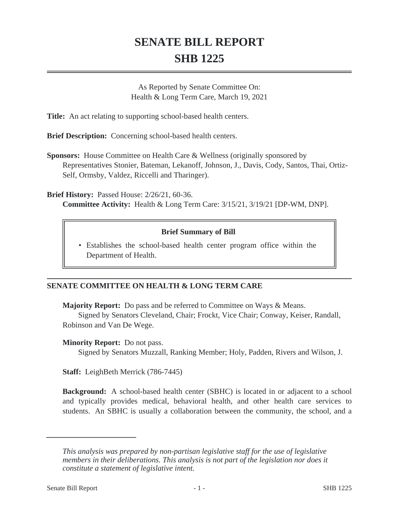# **SENATE BILL REPORT SHB 1225**

As Reported by Senate Committee On: Health & Long Term Care, March 19, 2021

**Title:** An act relating to supporting school-based health centers.

**Brief Description:** Concerning school-based health centers.

**Sponsors:** House Committee on Health Care & Wellness (originally sponsored by Representatives Stonier, Bateman, Lekanoff, Johnson, J., Davis, Cody, Santos, Thai, Ortiz-Self, Ormsby, Valdez, Riccelli and Tharinger).

**Brief History:** Passed House: 2/26/21, 60-36. **Committee Activity:** Health & Long Term Care: 3/15/21, 3/19/21 [DP-WM, DNP].

## **Brief Summary of Bill**

Establishes the school-based health center program office within the • Department of Health.

## **SENATE COMMITTEE ON HEALTH & LONG TERM CARE**

**Majority Report:** Do pass and be referred to Committee on Ways & Means.

Signed by Senators Cleveland, Chair; Frockt, Vice Chair; Conway, Keiser, Randall, Robinson and Van De Wege.

## **Minority Report:** Do not pass.

Signed by Senators Muzzall, Ranking Member; Holy, Padden, Rivers and Wilson, J.

**Staff:** LeighBeth Merrick (786-7445)

**Background:** A school-based health center (SBHC) is located in or adjacent to a school and typically provides medical, behavioral health, and other health care services to students. An SBHC is usually a collaboration between the community, the school, and a

*This analysis was prepared by non-partisan legislative staff for the use of legislative members in their deliberations. This analysis is not part of the legislation nor does it constitute a statement of legislative intent.*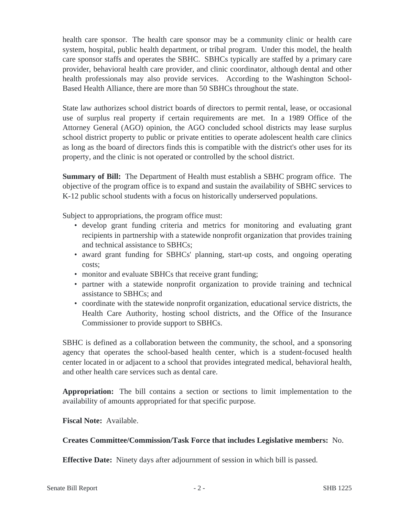health care sponsor. The health care sponsor may be a community clinic or health care system, hospital, public health department, or tribal program. Under this model, the health care sponsor staffs and operates the SBHC. SBHCs typically are staffed by a primary care provider, behavioral health care provider, and clinic coordinator, although dental and other health professionals may also provide services. According to the Washington School-Based Health Alliance, there are more than 50 SBHCs throughout the state.

State law authorizes school district boards of directors to permit rental, lease, or occasional use of surplus real property if certain requirements are met. In a 1989 Office of the Attorney General (AGO) opinion, the AGO concluded school districts may lease surplus school district property to public or private entities to operate adolescent health care clinics as long as the board of directors finds this is compatible with the district's other uses for its property, and the clinic is not operated or controlled by the school district.

**Summary of Bill:** The Department of Health must establish a SBHC program office. The objective of the program office is to expand and sustain the availability of SBHC services to K-12 public school students with a focus on historically underserved populations.

Subject to appropriations, the program office must:

- develop grant funding criteria and metrics for monitoring and evaluating grant recipients in partnership with a statewide nonprofit organization that provides training and technical assistance to SBHCs;
- award grant funding for SBHCs' planning, start-up costs, and ongoing operating costs;
- monitor and evaluate SBHCs that receive grant funding;
- partner with a statewide nonprofit organization to provide training and technical assistance to SBHCs; and
- coordinate with the statewide nonprofit organization, educational service districts, the Health Care Authority, hosting school districts, and the Office of the Insurance Commissioner to provide support to SBHCs.

SBHC is defined as a collaboration between the community, the school, and a sponsoring agency that operates the school-based health center, which is a student-focused health center located in or adjacent to a school that provides integrated medical, behavioral health, and other health care services such as dental care.

**Appropriation:** The bill contains a section or sections to limit implementation to the availability of amounts appropriated for that specific purpose.

**Fiscal Note:** Available.

## **Creates Committee/Commission/Task Force that includes Legislative members:** No.

**Effective Date:** Ninety days after adjournment of session in which bill is passed.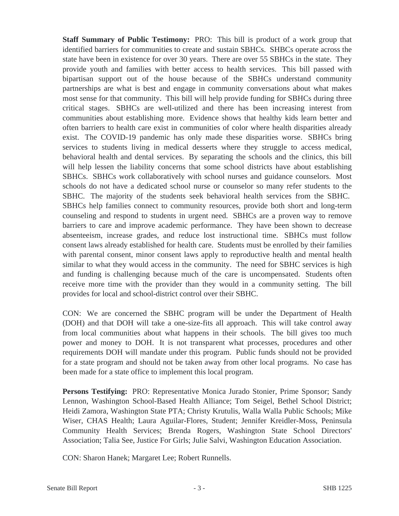**Staff Summary of Public Testimony:** PRO: This bill is product of a work group that identified barriers for communities to create and sustain SBHCs. SHBCs operate across the state have been in existence for over 30 years. There are over 55 SBHCs in the state. They provide youth and families with better access to health services. This bill passed with bipartisan support out of the house because of the SBHCs understand community partnerships are what is best and engage in community conversations about what makes most sense for that community. This bill will help provide funding for SBHCs during three critical stages. SBHCs are well-utilized and there has been increasing interest from communities about establishing more. Evidence shows that healthy kids learn better and often barriers to health care exist in communities of color where health disparities already exist. The COVID-19 pandemic has only made these disparities worse. SBHCs bring services to students living in medical desserts where they struggle to access medical, behavioral health and dental services. By separating the schools and the clinics, this bill will help lessen the liability concerns that some school districts have about establishing SBHCs. SBHCs work collaboratively with school nurses and guidance counselors. Most schools do not have a dedicated school nurse or counselor so many refer students to the SBHC. The majority of the students seek behavioral health services from the SBHC. SBHCs help families connect to community resources, provide both short and long-term counseling and respond to students in urgent need. SBHCs are a proven way to remove barriers to care and improve academic performance. They have been shown to decrease absenteeism, increase grades, and reduce lost instructional time. SBHCs must follow consent laws already established for health care. Students must be enrolled by their families with parental consent, minor consent laws apply to reproductive health and mental health similar to what they would access in the community. The need for SBHC services is high and funding is challenging because much of the care is uncompensated. Students often receive more time with the provider than they would in a community setting. The bill provides for local and school-district control over their SBHC.

CON: We are concerned the SBHC program will be under the Department of Health (DOH) and that DOH will take a one-size-fits all approach. This will take control away from local communities about what happens in their schools. The bill gives too much power and money to DOH. It is not transparent what processes, procedures and other requirements DOH will mandate under this program. Public funds should not be provided for a state program and should not be taken away from other local programs. No case has been made for a state office to implement this local program.

**Persons Testifying:** PRO: Representative Monica Jurado Stonier, Prime Sponsor; Sandy Lennon, Washington School-Based Health Alliance; Tom Seigel, Bethel School District; Heidi Zamora, Washington State PTA; Christy Krutulis, Walla Walla Public Schools; Mike Wiser, CHAS Health; Laura Aguilar-Flores, Student; Jennifer Kreidler-Moss, Peninsula Community Health Services; Brenda Rogers, Washington State School Directors' Association; Talia See, Justice For Girls; Julie Salvi, Washington Education Association.

CON: Sharon Hanek; Margaret Lee; Robert Runnells.